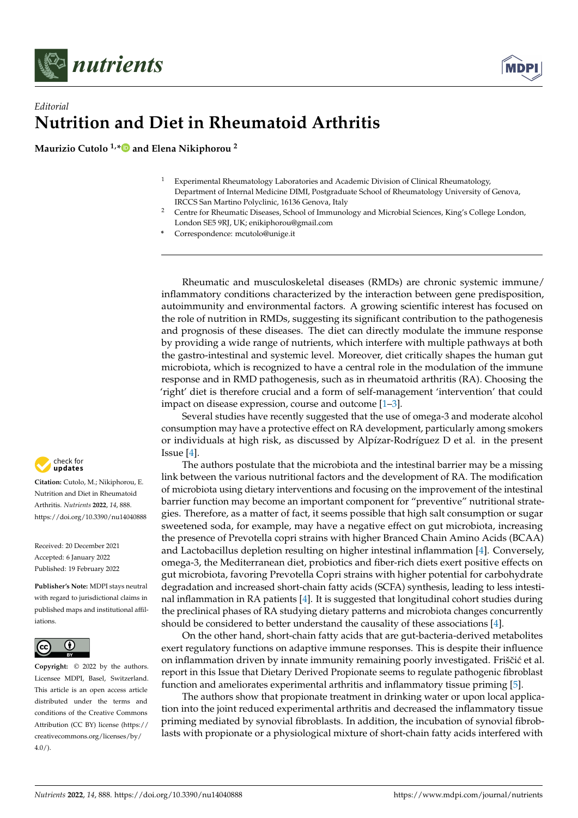



## *Editorial* **Nutrition and Diet in Rheumatoid Arthritis**

**Maurizio Cutolo 1,[\\*](https://orcid.org/0000-0002-5396-0932) and Elena Nikiphorou <sup>2</sup>**

- <sup>1</sup> Experimental Rheumatology Laboratories and Academic Division of Clinical Rheumatology, Department of Internal Medicine DIMI, Postgraduate School of Rheumatology University of Genova, IRCCS San Martino Polyclinic, 16136 Genova, Italy
- <sup>2</sup> Centre for Rheumatic Diseases, School of Immunology and Microbial Sciences, King's College London, London SE5 9RJ, UK; enikiphorou@gmail.com
- **\*** Correspondence: mcutolo@unige.it

Rheumatic and musculoskeletal diseases (RMDs) are chronic systemic immune/ inflammatory conditions characterized by the interaction between gene predisposition, autoimmunity and environmental factors. A growing scientific interest has focused on the role of nutrition in RMDs, suggesting its significant contribution to the pathogenesis and prognosis of these diseases. The diet can directly modulate the immune response by providing a wide range of nutrients, which interfere with multiple pathways at both the gastro-intestinal and systemic level. Moreover, diet critically shapes the human gut microbiota, which is recognized to have a central role in the modulation of the immune response and in RMD pathogenesis, such as in rheumatoid arthritis (RA). Choosing the 'right' diet is therefore crucial and a form of self-management 'intervention' that could impact on disease expression, course and outcome [\[1–](#page-3-0)[3\]](#page-3-1).

Several studies have recently suggested that the use of omega-3 and moderate alcohol consumption may have a protective effect on RA development, particularly among smokers or individuals at high risk, as discussed by Alpízar-Rodríguez D et al. in the present Issue [\[4\]](#page-3-2).

The authors postulate that the microbiota and the intestinal barrier may be a missing link between the various nutritional factors and the development of RA. The modification of microbiota using dietary interventions and focusing on the improvement of the intestinal barrier function may become an important component for "preventive" nutritional strategies. Therefore, as a matter of fact, it seems possible that high salt consumption or sugar sweetened soda, for example, may have a negative effect on gut microbiota, increasing the presence of Prevotella copri strains with higher Branced Chain Amino Acids (BCAA) and Lactobacillus depletion resulting on higher intestinal inflammation [\[4\]](#page-3-2). Conversely, omega-3, the Mediterranean diet, probiotics and fiber-rich diets exert positive effects on gut microbiota, favoring Prevotella Copri strains with higher potential for carbohydrate degradation and increased short-chain fatty acids (SCFA) synthesis, leading to less intestinal inflammation in RA patients [\[4\]](#page-3-2). It is suggested that longitudinal cohort studies during the preclinical phases of RA studying dietary patterns and microbiota changes concurrently should be considered to better understand the causality of these associations [\[4\]](#page-3-2).

On the other hand, short-chain fatty acids that are gut-bacteria-derived metabolites exert regulatory functions on adaptive immune responses. This is despite their influence on inflammation driven by innate immunity remaining poorly investigated. Friščić et al. report in this Issue that Dietary Derived Propionate seems to regulate pathogenic fibroblast function and ameliorates experimental arthritis and inflammatory tissue priming [\[5\]](#page-3-3).

The authors show that propionate treatment in drinking water or upon local application into the joint reduced experimental arthritis and decreased the inflammatory tissue priming mediated by synovial fibroblasts. In addition, the incubation of synovial fibroblasts with propionate or a physiological mixture of short-chain fatty acids interfered with



**Citation:** Cutolo, M.; Nikiphorou, E. Nutrition and Diet in Rheumatoid Arthritis. *Nutrients* **2022**, *14*, 888. <https://doi.org/10.3390/nu14040888>

Received: 20 December 2021 Accepted: 6 January 2022 Published: 19 February 2022

**Publisher's Note:** MDPI stays neutral with regard to jurisdictional claims in published maps and institutional affiliations.



**Copyright:** © 2022 by the authors. Licensee MDPI, Basel, Switzerland. This article is an open access article distributed under the terms and conditions of the Creative Commons Attribution (CC BY) license [\(https://](https://creativecommons.org/licenses/by/4.0/) [creativecommons.org/licenses/by/](https://creativecommons.org/licenses/by/4.0/)  $4.0/$ ).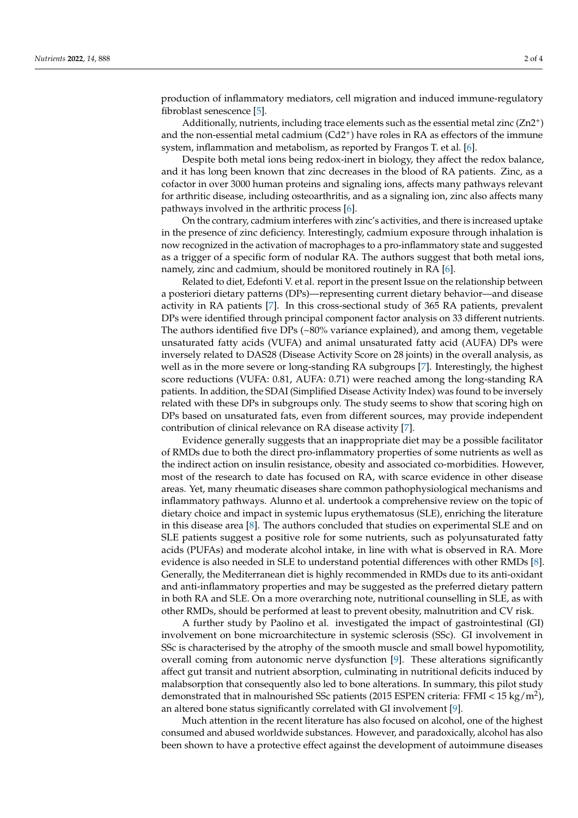production of inflammatory mediators, cell migration and induced immune-regulatory fibroblast senescence [\[5\]](#page-3-3).

Additionally, nutrients, including trace elements such as the essential metal zinc  $(Zn2<sup>+</sup>)$ and the non-essential metal cadmium (Cd2<sup>+</sup>) have roles in RA as effectors of the immune system, inflammation and metabolism, as reported by Frangos T. et al. [\[6\]](#page-3-4).

Despite both metal ions being redox-inert in biology, they affect the redox balance, and it has long been known that zinc decreases in the blood of RA patients. Zinc, as a cofactor in over 3000 human proteins and signaling ions, affects many pathways relevant for arthritic disease, including osteoarthritis, and as a signaling ion, zinc also affects many pathways involved in the arthritic process [\[6\]](#page-3-4).

On the contrary, cadmium interferes with zinc's activities, and there is increased uptake in the presence of zinc deficiency. Interestingly, cadmium exposure through inhalation is now recognized in the activation of macrophages to a pro-inflammatory state and suggested as a trigger of a specific form of nodular RA. The authors suggest that both metal ions, namely, zinc and cadmium, should be monitored routinely in RA [\[6\]](#page-3-4).

Related to diet, Edefonti V. et al. report in the present Issue on the relationship between a posteriori dietary patterns (DPs)—representing current dietary behavior—and disease activity in RA patients [\[7\]](#page-3-5). In this cross-sectional study of 365 RA patients, prevalent DPs were identified through principal component factor analysis on 33 different nutrients. The authors identified five DPs (~80% variance explained), and among them, vegetable unsaturated fatty acids (VUFA) and animal unsaturated fatty acid (AUFA) DPs were inversely related to DAS28 (Disease Activity Score on 28 joints) in the overall analysis, as well as in the more severe or long-standing RA subgroups [\[7\]](#page-3-5). Interestingly, the highest score reductions (VUFA: 0.81, AUFA: 0.71) were reached among the long-standing RA patients. In addition, the SDAI (Simplified Disease Activity Index) was found to be inversely related with these DPs in subgroups only. The study seems to show that scoring high on DPs based on unsaturated fats, even from different sources, may provide independent contribution of clinical relevance on RA disease activity [\[7\]](#page-3-5).

Evidence generally suggests that an inappropriate diet may be a possible facilitator of RMDs due to both the direct pro-inflammatory properties of some nutrients as well as the indirect action on insulin resistance, obesity and associated co-morbidities. However, most of the research to date has focused on RA, with scarce evidence in other disease areas. Yet, many rheumatic diseases share common pathophysiological mechanisms and inflammatory pathways. Alunno et al. undertook a comprehensive review on the topic of dietary choice and impact in systemic lupus erythematosus (SLE), enriching the literature in this disease area [\[8\]](#page-3-6). The authors concluded that studies on experimental SLE and on SLE patients suggest a positive role for some nutrients, such as polyunsaturated fatty acids (PUFAs) and moderate alcohol intake, in line with what is observed in RA. More evidence is also needed in SLE to understand potential differences with other RMDs [\[8\]](#page-3-6). Generally, the Mediterranean diet is highly recommended in RMDs due to its anti-oxidant and anti-inflammatory properties and may be suggested as the preferred dietary pattern in both RA and SLE. On a more overarching note, nutritional counselling in SLE, as with other RMDs, should be performed at least to prevent obesity, malnutrition and CV risk.

A further study by Paolino et al. investigated the impact of gastrointestinal (GI) involvement on bone microarchitecture in systemic sclerosis (SSc). GI involvement in SSc is characterised by the atrophy of the smooth muscle and small bowel hypomotility, overall coming from autonomic nerve dysfunction [\[9\]](#page-3-7). These alterations significantly affect gut transit and nutrient absorption, culminating in nutritional deficits induced by malabsorption that consequently also led to bone alterations. In summary, this pilot study demonstrated that in malnourished SSc patients (2015 ESPEN criteria: FFMI < 15 kg/m<sup>2</sup>), an altered bone status significantly correlated with GI involvement [\[9\]](#page-3-7).

Much attention in the recent literature has also focused on alcohol, one of the highest consumed and abused worldwide substances. However, and paradoxically, alcohol has also been shown to have a protective effect against the development of autoimmune diseases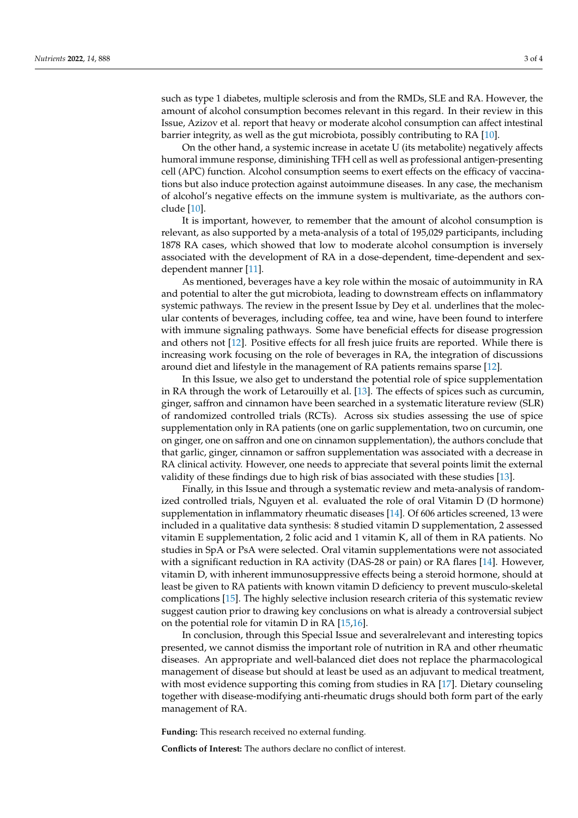such as type 1 diabetes, multiple sclerosis and from the RMDs, SLE and RA. However, the amount of alcohol consumption becomes relevant in this regard. In their review in this Issue, Azizov et al. report that heavy or moderate alcohol consumption can affect intestinal barrier integrity, as well as the gut microbiota, possibly contributing to RA [\[10\]](#page-3-8).

On the other hand, a systemic increase in acetate U (its metabolite) negatively affects humoral immune response, diminishing TFH cell as well as professional antigen-presenting cell (APC) function. Alcohol consumption seems to exert effects on the efficacy of vaccinations but also induce protection against autoimmune diseases. In any case, the mechanism of alcohol's negative effects on the immune system is multivariate, as the authors conclude [\[10\]](#page-3-8).

It is important, however, to remember that the amount of alcohol consumption is relevant, as also supported by a meta-analysis of a total of 195,029 participants, including 1878 RA cases, which showed that low to moderate alcohol consumption is inversely associated with the development of RA in a dose-dependent, time-dependent and sexdependent manner [\[11\]](#page-3-9).

As mentioned, beverages have a key role within the mosaic of autoimmunity in RA and potential to alter the gut microbiota, leading to downstream effects on inflammatory systemic pathways. The review in the present Issue by Dey et al. underlines that the molecular contents of beverages, including coffee, tea and wine, have been found to interfere with immune signaling pathways. Some have beneficial effects for disease progression and others not [\[12\]](#page-3-10). Positive effects for all fresh juice fruits are reported. While there is increasing work focusing on the role of beverages in RA, the integration of discussions around diet and lifestyle in the management of RA patients remains sparse [\[12\]](#page-3-10).

In this Issue, we also get to understand the potential role of spice supplementation in RA through the work of Letarouilly et al. [\[13\]](#page-3-11). The effects of spices such as curcumin, ginger, saffron and cinnamon have been searched in a systematic literature review (SLR) of randomized controlled trials (RCTs). Across six studies assessing the use of spice supplementation only in RA patients (one on garlic supplementation, two on curcumin, one on ginger, one on saffron and one on cinnamon supplementation), the authors conclude that that garlic, ginger, cinnamon or saffron supplementation was associated with a decrease in RA clinical activity. However, one needs to appreciate that several points limit the external validity of these findings due to high risk of bias associated with these studies [\[13\]](#page-3-11).

Finally, in this Issue and through a systematic review and meta-analysis of randomized controlled trials, Nguyen et al. evaluated the role of oral Vitamin D (D hormone) supplementation in inflammatory rheumatic diseases [\[14\]](#page-3-12). Of 606 articles screened, 13 were included in a qualitative data synthesis: 8 studied vitamin D supplementation, 2 assessed vitamin E supplementation, 2 folic acid and 1 vitamin K, all of them in RA patients. No studies in SpA or PsA were selected. Oral vitamin supplementations were not associated with a significant reduction in RA activity (DAS-28 or pain) or RA flares [\[14\]](#page-3-12). However, vitamin D, with inherent immunosuppressive effects being a steroid hormone, should at least be given to RA patients with known vitamin D deficiency to prevent musculo-skeletal complications [\[15\]](#page-3-13). The highly selective inclusion research criteria of this systematic review suggest caution prior to drawing key conclusions on what is already a controversial subject on the potential role for vitamin D in RA [\[15,](#page-3-13)[16\]](#page-3-14).

In conclusion, through this Special Issue and severalrelevant and interesting topics presented, we cannot dismiss the important role of nutrition in RA and other rheumatic diseases. An appropriate and well-balanced diet does not replace the pharmacological management of disease but should at least be used as an adjuvant to medical treatment, with most evidence supporting this coming from studies in RA [\[17\]](#page-3-15). Dietary counseling together with disease-modifying anti-rheumatic drugs should both form part of the early management of RA.

**Funding:** This research received no external funding.

**Conflicts of Interest:** The authors declare no conflict of interest.